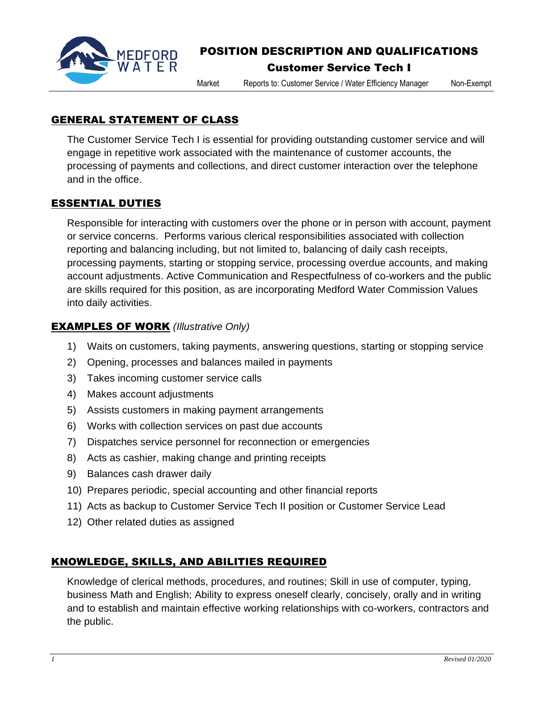

# POSITION DESCRIPTION AND QUALIFICATIONS

### Customer Service Tech I

Market Reports to: Customer Service / Water Efficiency Manager Non-Exempt

GENERAL STATEMENT OF CLASS

The Customer Service Tech I is essential for providing outstanding customer service and will engage in repetitive work associated with the maintenance of customer accounts, the processing of payments and collections, and direct customer interaction over the telephone and in the office.

### ESSENTIAL DUTIES

Responsible for interacting with customers over the phone or in person with account, payment or service concerns. Performs various clerical responsibilities associated with collection reporting and balancing including, but not limited to, balancing of daily cash receipts, processing payments, starting or stopping service, processing overdue accounts, and making account adjustments. Active Communication and Respectfulness of co-workers and the public are skills required for this position, as are incorporating Medford Water Commission Values into daily activities.

## EXAMPLES OF WORK *(Illustrative Only)*

- 1) Waits on customers, taking payments, answering questions, starting or stopping service
- 2) Opening, processes and balances mailed in payments
- 3) Takes incoming customer service calls
- 4) Makes account adjustments
- 5) Assists customers in making payment arrangements
- 6) Works with collection services on past due accounts
- 7) Dispatches service personnel for reconnection or emergencies
- 8) Acts as cashier, making change and printing receipts
- 9) Balances cash drawer daily
- 10) Prepares periodic, special accounting and other financial reports
- 11) Acts as backup to Customer Service Tech II position or Customer Service Lead
- 12) Other related duties as assigned

# KNOWLEDGE, SKILLS, AND ABILITIES REQUIRED

Knowledge of clerical methods, procedures, and routines; Skill in use of computer, typing, business Math and English; Ability to express oneself clearly, concisely, orally and in writing and to establish and maintain effective working relationships with co-workers, contractors and the public.